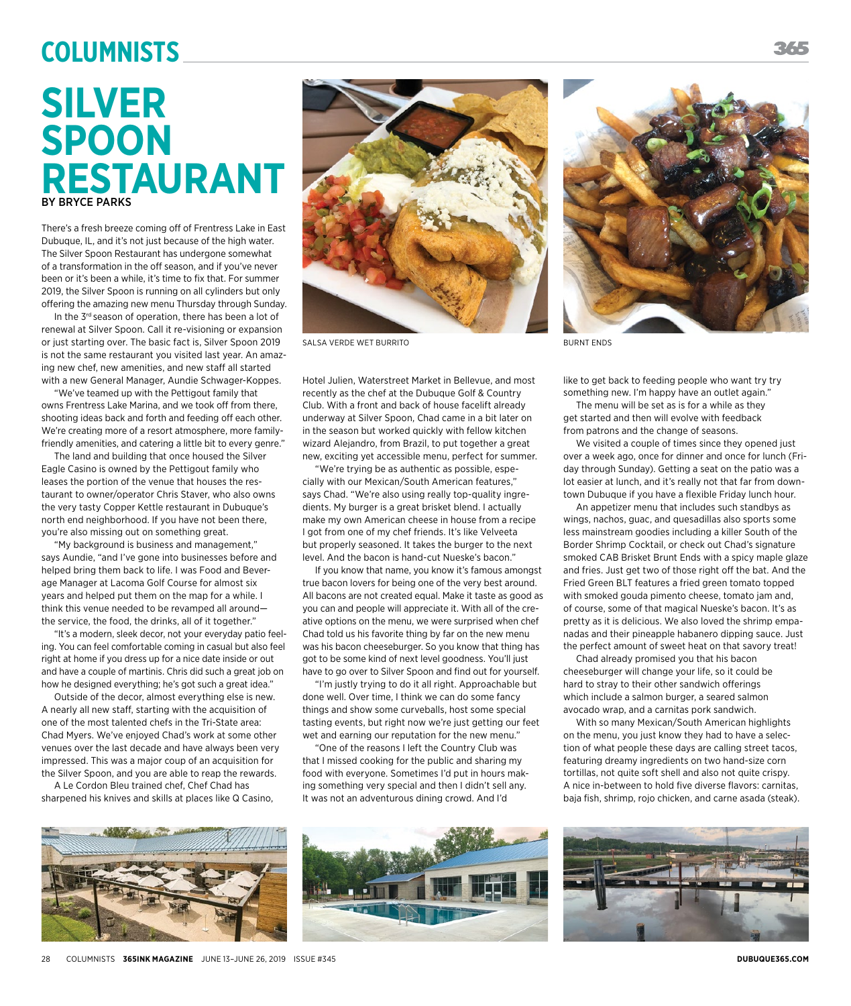## **Columnists**

## **SILVER SPOON RESTAURANT** BY BRYCE PARKS

There's a fresh breeze coming off of Frentress Lake in East Dubuque, IL, and it's not just because of the high water. The Silver Spoon Restaurant has undergone somewhat of a transformation in the off season, and if you've never been or it's been a while, it's time to fix that. For summer 2019, the Silver Spoon is running on all cylinders but only offering the amazing new menu Thursday through Sunday.

In the 3<sup>rd</sup> season of operation, there has been a lot of renewal at Silver Spoon. Call it re-visioning or expansion or just starting over. The basic fact is, Silver Spoon 2019 is not the same restaurant you visited last year. An amazing new chef, new amenities, and new staff all started with a new General Manager, Aundie Schwager-Koppes.

"We've teamed up with the Pettigout family that owns Frentress Lake Marina, and we took off from there, shooting ideas back and forth and feeding off each other. We're creating more of a resort atmosphere, more familyfriendly amenities, and catering a little bit to every genre."

The land and building that once housed the Silver Eagle Casino is owned by the Pettigout family who leases the portion of the venue that houses the restaurant to owner/operator Chris Staver, who also owns the very tasty Copper Kettle restaurant in Dubuque's north end neighborhood. If you have not been there, you're also missing out on something great.

"My background is business and management," says Aundie, "and I've gone into businesses before and helped bring them back to life. I was Food and Beverage Manager at Lacoma Golf Course for almost six years and helped put them on the map for a while. I think this venue needed to be revamped all around the service, the food, the drinks, all of it together."

"It's a modern, sleek decor, not your everyday patio feeling. You can feel comfortable coming in casual but also feel right at home if you dress up for a nice date inside or out and have a couple of martinis. Chris did such a great job on how he designed everything; he's got such a great idea."

Outside of the decor, almost everything else is new. A nearly all new staff, starting with the acquisition of one of the most talented chefs in the Tri-State area: Chad Myers. We've enjoyed Chad's work at some other venues over the last decade and have always been very impressed. This was a major coup of an acquisition for the Silver Spoon, and you are able to reap the rewards.

A Le Cordon Bleu trained chef, Chef Chad has sharpened his knives and skills at places like Q Casino,



SALSA VERDE WET BURRITO SALSA VERDE WET BURNT ENDS

Hotel Julien, Waterstreet Market in Bellevue, and most recently as the chef at the Dubuque Golf & Country Club. With a front and back of house facelift already underway at Silver Spoon, Chad came in a bit later on in the season but worked quickly with fellow kitchen wizard Alejandro, from Brazil, to put together a great new, exciting yet accessible menu, perfect for summer.

"We're trying be as authentic as possible, especially with our Mexican/South American features," says Chad. "We're also using really top-quality ingredients. My burger is a great brisket blend. I actually make my own American cheese in house from a recipe I got from one of my chef friends. It's like Velveeta but properly seasoned. It takes the burger to the next level. And the bacon is hand-cut Nueske's bacon."

If you know that name, you know it's famous amongst true bacon lovers for being one of the very best around. All bacons are not created equal. Make it taste as good as you can and people will appreciate it. With all of the creative options on the menu, we were surprised when chef Chad told us his favorite thing by far on the new menu was his bacon cheeseburger. So you know that thing has got to be some kind of next level goodness. You'll just have to go over to Silver Spoon and find out for yourself.

"I'm justly trying to do it all right. Approachable but done well. Over time, I think we can do some fancy things and show some curveballs, host some special tasting events, but right now we're just getting our feet wet and earning our reputation for the new menu."

"One of the reasons I left the Country Club was that I missed cooking for the public and sharing my food with everyone. Sometimes I'd put in hours making something very special and then I didn't sell any. It was not an adventurous dining crowd. And I'd



like to get back to feeding people who want try try something new. I'm happy have an outlet again."

The menu will be set as is for a while as they get started and then will evolve with feedback from patrons and the change of seasons.

We visited a couple of times since they opened just over a week ago, once for dinner and once for lunch (Friday through Sunday). Getting a seat on the patio was a lot easier at lunch, and it's really not that far from downtown Dubuque if you have a flexible Friday lunch hour.

An appetizer menu that includes such standbys as wings, nachos, guac, and quesadillas also sports some less mainstream goodies including a killer South of the Border Shrimp Cocktail, or check out Chad's signature smoked CAB Brisket Brunt Ends with a spicy maple glaze and fries. Just get two of those right off the bat. And the Fried Green BLT features a fried green tomato topped with smoked gouda pimento cheese, tomato jam and, of course, some of that magical Nueske's bacon. It's as pretty as it is delicious. We also loved the shrimp empanadas and their pineapple habanero dipping sauce. Just the perfect amount of sweet heat on that savory treat!

Chad already promised you that his bacon cheeseburger will change your life, so it could be hard to stray to their other sandwich offerings which include a salmon burger, a seared salmon avocado wrap, and a carnitas pork sandwich.

With so many Mexican/South American highlights on the menu, you just know they had to have a selection of what people these days are calling street tacos, featuring dreamy ingredients on two hand-size corn tortillas, not quite soft shell and also not quite crispy. A nice in-between to hold five diverse flavors: carnitas, baja fish, shrimp, rojo chicken, and carne asada (steak).